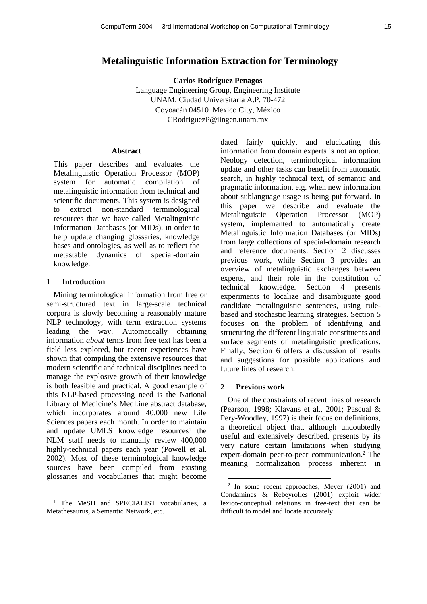# **Metalinguistic Information Extraction for Terminology**

**Carlos Rodríguez Penagos**

Language Engineering Group, Engineering Institute UNAM, Ciudad Universitaria A.P. 70-472 Coyoacán 04510 Mexico City, México CRodriguezP@iingen.unam.mx

#### **Abstract**

This paper describes and evaluates the Metalinguistic Operation Processor (MOP) system for automatic compilation of metalinguistic information from technical and scientific documents. This system is designed to extract non-standard terminological resources that we have called Metalinguistic Information Databases (or MIDs), in order to help update changing glossaries, knowledge bases and ontologies, as well as to reflect the metastable dynamics of special-domain knowledge.

### **1 Introduction**

l

Mining terminological information from free or semi-structured text in large-scale technical corpora is slowly becoming a reasonably mature NLP technology, with term extraction systems leading the way. Automatically obtaining information *about* terms from free text has been a field less explored, but recent experiences have shown that compiling the extensive resources that modern scientific and technical disciplines need to manage the explosive growth of their knowledge is both feasible and practical. A good example of this NLP-based processing need is the National Library of Medicine's MedLine abstract database, which incorporates around 40,000 new Life Sciences papers each month. In order to maintain and update UMLS knowledge resources<sup>1</sup> the NLM staff needs to manually review 400,000 highly-technical papers each year (Powell et al. 2002). Most of these terminological knowledge sources have been compiled from existing glossaries and vocabularies that might become

<sup>1</sup> The MeSH and SPECIALIST vocabularies, a Metathesaurus, a Semantic Network, etc.

dated fairly quickly, and elucidating this information from domain experts is not an option. Neology detection, terminological information update and other tasks can benefit from automatic search, in highly technical text, of semantic and pragmatic information, e.g. when new information about sublanguage usage is being put forward. In this paper we describe and evaluate the Metalinguistic Operation Processor (MOP) system, implemented to automatically create Metalinguistic Information Databases (or MIDs) from large collections of special-domain research and reference documents. Section 2 discusses previous work, while Section 3 provides an overview of metalinguistic exchanges between experts, and their role in the constitution of technical knowledge. Section 4 presents experiments to localize and disambiguate good candidate metalinguistic sentences, using rulebased and stochastic learning strategies. Section 5 focuses on the problem of identifying and structuring the different linguistic constituents and surface segments of metalinguistic predications. Finally, Section 6 offers a discussion of results and suggestions for possible applications and future lines of research.

#### **2 Previous work**

One of the constraints of recent lines of research (Pearson, 1998; Klavans et al., 2001; Pascual & Pery-Woodley, 1997) is their focus on definitions, a theoretical object that, although undoubtedly useful and extensively described, presents by its very nature certain limitations when studying expert-domain peer-to-peer communication.<sup>2</sup> The meaning normalization process inherent in

<sup>2</sup> In some recent approaches, Meyer (2001) and Condamines & Rebeyrolles (2001) exploit wider lexico-conceptual relations in free-text that can be difficult to model and locate accurately.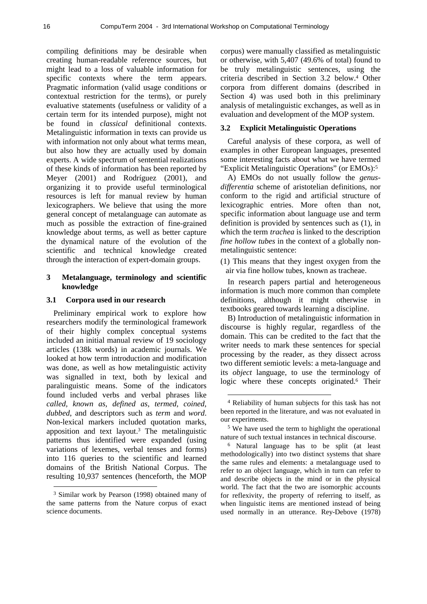compiling definitions may be desirable when creating human-readable reference sources, but might lead to a loss of valuable information for specific contexts where the term appears. Pragmatic information (valid usage conditions or contextual restriction for the terms), or purely evaluative statements (usefulness or validity of a certain term for its intended purpose), might not be found in *classical* definitional contexts. Metalinguistic information in texts can provide us with information not only about what terms mean, but also how they are actually used by domain experts. A wide spectrum of sentential realizations of these kinds of information has been reported by Meyer (2001) and Rodríguez (2001), and organizing it to provide useful terminological resources is left for manual review by human lexicographers. We believe that using the more general concept of metalanguage can automate as much as possible the extraction of fine-grained knowledge about terms, as well as better capture the dynamical nature of the evolution of the scientific and technical knowledge created through the interaction of expert-domain groups.

# **3 Metalanguage, terminology and scientific knowledge**

### **3.1 Corpora used in our research**

Preliminary empirical work to explore how researchers modify the terminological framework of their highly complex conceptual systems included an initial manual review of 19 sociology articles (138k words) in academic journals. We looked at how term introduction and modification was done, as well as how metalinguistic activity was signalled in text, both by lexical and paralinguistic means. Some of the indicators found included verbs and verbal phrases like *called, known as, defined as, termed, coined, dubbed*, and descriptors such as *term* and *word*. Non-lexical markers included quotation marks, apposition and text layout. <sup>3</sup> The metalinguistic patterns thus identified were expanded (using variations of lexemes, verbal tenses and forms) into 116 queries to the scientific and learned domains of the British National Corpus. The resulting 10,937 sentences (henceforth, the MOP

l

corpus) were manually classified as metalinguistic or otherwise, with 5,407 (49.6% of total) found to be truly metalinguistic sentences, using the criteria described in Section 3.2 below. <sup>4</sup> Other corpora from different domains (described in Section 4) was used both in this preliminary analysis of metalinguistic exchanges, as well as in evaluation and development of the MOP system.

#### **3.2 Explicit Metalinguistic Operations**

Careful analysis of these corpora, as well of examples in other European languages, presented some interesting facts about what we have termed "Explicit Metalinguistic Operations" (or EMOs):<sup>5</sup>

A) EMOs do not usually follow the *genusdifferentia* scheme of aristotelian definitions, nor conform to the rigid and artificial structure of lexicographic entries. More often than not, specific information about language use and term definition is provided by sentences such as (1), in which the term *trachea* is linked to the description *fine hollow tubes* in the context of a globally nonmetalinguistic sentence:

(1) This means that they ingest oxygen from the air via fine hollow tubes, known as tracheae.

In research papers partial and heterogeneous information is much more common than complete definitions, although it might otherwise in textbooks geared towards learning a discipline.

B) Introduction of metalinguistic information in discourse is highly regular, regardless of the domain. This can be credited to the fact that the writer needs to mark these sentences for special processing by the reader, as they dissect across two different semiotic levels: a meta-language and its *object* language, to use the terminology of logic where these concepts originated. <sup>6</sup> Their

 $\overline{a}$ 

<sup>&</sup>lt;sup>3</sup> Similar work by Pearson (1998) obtained many of the same patterns from the Nature corpus of exact science documents.

<sup>4</sup> Reliability of human subjects for this task has not been reported in the literature, and was not evaluated in our experiments.

<sup>5</sup> We have used the term to highlight the operational nature of such textual instances in technical discourse.

<sup>6</sup> Natural language has to be split (at least methodologically) into two distinct systems that share the same rules and elements: a metalanguage used to refer to an object language, which in turn can refer to and describe objects in the mind or in the physical world. The fact that the two are isomorphic accounts for reflexivity, the property of referring to itself, as when linguistic items are mentioned instead of being used normally in an utterance. Rey-Debove (1978)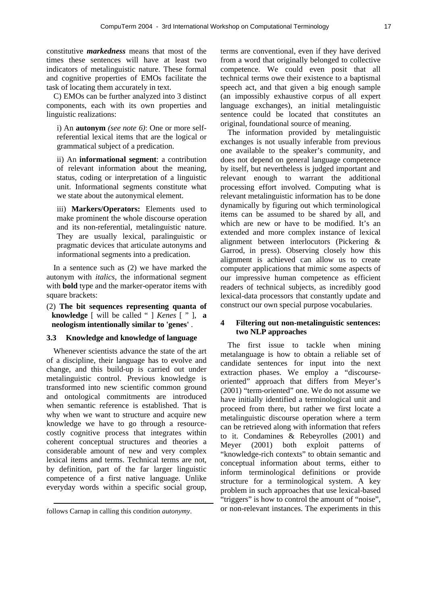constitutive *markedness* means that most of the times these sentences will have at least two indicators of metalinguistic nature. These formal and cognitive properties of EMOs facilitate the task of locating them accurately in text.

C) EMOs can be further analyzed into 3 distinct components, each with its own properties and linguistic realizations:

i) An **autonym** *(see note 6)*: One or more selfreferential lexical items that are the logical or grammatical subject of a predication.

ii) An **informational segment**: a contribution of relevant information about the meaning, status, coding or interpretation of a linguistic unit. Informational segments constitute what we state about the autonymical element.

iii) **Markers/Operators:** Elements used to make prominent the whole discourse operation and its non-referential, metalinguistic nature. They are usually lexical, paralinguistic or pragmatic devices that articulate autonyms and informational segments into a predication.

In a sentence such as (2) we have marked the autonym with *italics*, the informational segment with **bold** type and the marker-operator items with square brackets:

(2) **The bit sequences representing quanta of knowledge** [ will be called " ] *Kenes* [ " ], **a neologism intentionally similar to 'genes'** .

#### **3.3 Knowledge and knowledge of language**

Whenever scientists advance the state of the art of a discipline, their language has to evolve and change, and this build-up is carried out under metalinguistic control. Previous knowledge is transformed into new scientific common ground and ontological commitments are introduced when semantic reference is established. That is why when we want to structure and acquire new knowledge we have to go through a resourcecostly cognitive process that integrates within coherent conceptual structures and theories a considerable amount of new and very complex lexical items and terms. Technical terms are not, by definition, part of the far larger linguistic competence of a first native language. Unlike everyday words within a specific social group,

l

terms are conventional, even if they have derived from a word that originally belonged to collective competence. We could even posit that all technical terms owe their existence to a baptismal speech act, and that given a big enough sample (an impossibly exhaustive corpus of all expert language exchanges), an initial metalinguistic sentence could be located that constitutes an original, foundational source of meaning.

The information provided by metalinguistic exchanges is not usually inferable from previous one available to the speaker's community, and does not depend on general language competence by itself, but nevertheless is judged important and relevant enough to warrant the additional processing effort involved. Computing what is relevant metalinguistic information has to be done dynamically by figuring out which terminological items can be assumed to be shared by all, and which are new or have to be modified. It's an extended and more complex instance of lexical alignment between interlocutors (Pickering & Garrod, in press). Observing closely how this alignment is achieved can allow us to create computer applications that mimic some aspects of our impressive human competence as efficient readers of technical subjects, as incredibly good lexical-data processors that constantly update and construct our own special purpose vocabularies.

## **4 Filtering out non-metalinguistic sentences: two NLP approaches**

The first issue to tackle when mining metalanguage is how to obtain a reliable set of candidate sentences for input into the next extraction phases. We employ a "discourseoriented" approach that differs from Meyer's (2001) "term-oriented" one. We do not assume we have initially identified a terminological unit and proceed from there, but rather we first locate a metalinguistic discourse operation where a term can be retrieved along with information that refers to it. Condamines & Rebeyrolles (2001) and Meyer (2001) both exploit patterns of "knowledge-rich contexts" to obtain semantic and conceptual information about terms, either to inform terminological definitions or provide structure for a terminological system. A key problem in such approaches that use lexical-based "triggers" is how to control the amount of "noise", or non-relevant instances. The experiments in this

follows Carnap in calling this condition *autonymy*.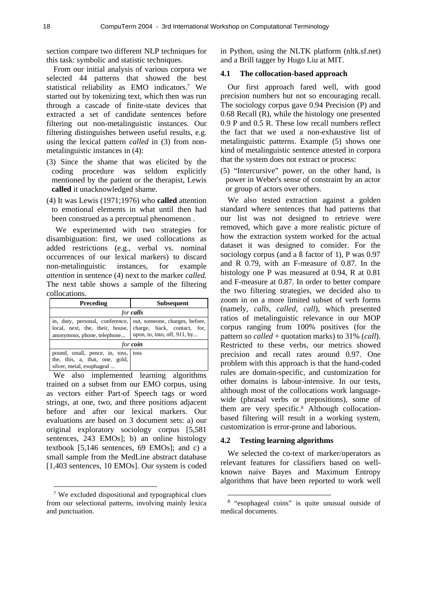section compare two different NLP techniques for this task: symbolic and statistic techniques.

From our initial analysis of various corpora we selected 44 patterns that showed the best statistical reliability as EMO indicators.<sup>7</sup> We started out by tokenizing text, which then was run through a cascade of finite-state devices that extracted a set of candidate sentences before filtering out non-metalinguistic instances. Our filtering distinguishes between useful results, e.g. using the lexical pattern *called* in (3) from nonmetalinguistic instances in (4):

- (3) Since the shame that was elicited by the coding procedure was seldom explicitly mentioned by the patient or the therapist, Lewis **called** it unacknowledged shame.
- (4) It was Lewis (1971;1976) who **called** attention to emotional elements in what until then had been construed as a perceptual phenomenon .

We experimented with two strategies for disambiguation: first, we used collocations as added restrictions (e.g., verbal vs. nominal occurrences of our lexical markers) to discard non-metalinguistic instances, for example *attention* in sentence (4) next to the marker *called.* The next table shows a sample of the filtering collocations.

| <b>Preceding</b>                                                                                                                                             | <b>Subsequent</b>            |  |  |  |
|--------------------------------------------------------------------------------------------------------------------------------------------------------------|------------------------------|--|--|--|
| for <b>calls</b>                                                                                                                                             |                              |  |  |  |
| in, duty, personal, conference, out, someone, charges, before,<br>local, next, the, their, house, charge, back, contact, for,<br>anonymous, phone, telephone | upon, to, into, off, 911, by |  |  |  |
| for <b>coin</b>                                                                                                                                              |                              |  |  |  |
| pound, small, pence, in, toss, toss<br>the, this, a, that, one, gold,<br>silver, metal, esophageal                                                           |                              |  |  |  |

We also implemented learning algorithms trained on a subset from our EMO corpus, using as vectors either Part-of Speech tags or word strings, at one, two, and three positions adjacent before and after our lexical markers. Our evaluations are based on 3 document sets: a) our original exploratory sociology corpus [5,581 sentences, 243 EMOs]; b) an online histology textbook [5,146 sentences, 69 EMOs]; and c) a small sample from the MedLine abstract database [1,403 sentences, 10 EMOs]. Our system is coded

l

in Python, using the NLTK platform (nltk.sf.net) and a Brill tagger by Hugo Liu at MIT.

### **4.1 The collocation-based approach**

Our first approach fared well, with good precision numbers but not so encouraging recall. The sociology corpus gave 0.94 Precision (P) and 0.68 Recall (R), while the histology one presented 0.9 P and 0.5 R. These low recall numbers reflect the fact that we used a non-exhaustive list of metalinguistic patterns. Example (5) shows one kind of metalinguistic sentence attested in corpora that the system does not extract or process:

(5) "Intercursive" power, on the other hand, is power in Weber's sense of constraint by an actor or group of actors over others.

We also tested extraction against a golden standard where sentences that had patterns that our list was not designed to retrieve were removed, which gave a more realistic picture of how the extraction system worked for the actual dataset it was designed to consider. For the sociology corpus (and a ß factor of 1), P was 0.97 and R 0.79, with an F-measure of 0.87. In the histology one P was measured at 0.94, R at 0.81 and F-measure at 0.87. In order to better compare the two filtering strategies, we decided also to zoom in on a more limited subset of verb forms (namely, *calls, called, call*), which presented ratios of metalinguistic relevance in our MOP corpus ranging from 100% positives (for the pattern *so called* + quotation marks) to 31% (*call*). Restricted to these verbs, our metrics showed precision and recall rates around 0.97. One problem with this approach is that the hand-coded rules are domain-specific, and customization for other domains is labour-intensive. In our tests, although most of the collocations work languagewide (phrasal verbs or prepositions), some of them are very specific. 8 Although collocationbased filtering will result in a working system, customization is error-prone and laborious.

#### **4.2 Testing learning algorithms**

 $\overline{a}$ 

We selected the co-text of marker/operators as relevant features for classifiers based on wellknown naive Bayes and Maximum Entropy algorithms that have been reported to work well

<sup>7</sup> We excluded dispositional and typographical clues from our selectional patterns, involving mainly lexica and punctuation.

<sup>&</sup>lt;sup>8</sup> "esophageal coins" is quite unusual outside of medical documents.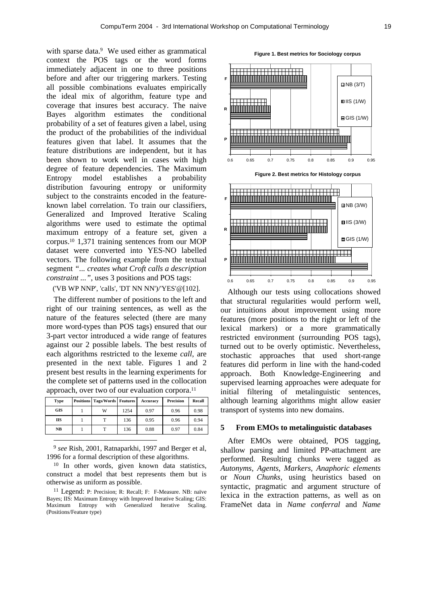with sparse data.<sup>9</sup> We used either as grammatical context the POS tags or the word forms immediately adjacent in one to three positions before and after our triggering markers. Testing all possible combinations evaluates empirically the ideal mix of algorithm, feature type and coverage that insures best accuracy. The naive Bayes algorithm estimates the conditional probability of a set of features given a label, using the product of the probabilities of the individual features given that label. It assumes that the feature distributions are independent, but it has been shown to work well in cases with high degree of feature dependencies. The Maximum Entropy model establishes a probability distribution favouring entropy or uniformity subject to the constraints encoded in the featureknown label correlation. To train our classifiers, Generalized and Improved Iterative Scaling algorithms were used to estimate the optimal maximum entropy of a feature set, given a corpus.<sup>10</sup> 1,371 training sentences from our MOP dataset were converted into YES-NO labelled vectors. The following example from the textual segment *"... creates what Croft calls a description constraint ..."*, uses 3 positions and POS tags:

('VB WP NNP', 'calls', 'DT NN NN')/'YES'@[102].

The different number of positions to the left and right of our training sentences, as well as the nature of the features selected (there are many more word-types than POS tags) ensured that our 3-part vector introduced a wide range of features against our 2 possible labels. The best results of each algorithms restricted to the lexeme *call*, are presented in the next table. Figures 1 and 2 present best results in the learning experiments for the complete set of patterns used in the collocation approach, over two of our evaluation corpora.<sup>11</sup>

| Type       | <b>Positions Tags/Words Features</b> |      | Accuracy | <b>Precision</b> | Recall |
|------------|--------------------------------------|------|----------|------------------|--------|
| <b>GIS</b> | W                                    | 1254 | 0.97     | 0.96             | 0.98   |
| <b>IIS</b> |                                      | 136  | 0.95     | 0.96             | 0.94   |
| NB         |                                      | 136  | 0.88     | 0.97             | 0.84   |

9 *see* Rish, 2001, Ratnaparkhi, 1997 and Berger et al, 1996 for a formal description of these algorithms.

l

<sup>10</sup> In other words, given known data statistics, construct a model that best represents them but is otherwise as uniform as possible.

<sup>11</sup> Legend: P: Precision; R: Recall; F: F-Measure. NB: naïve Bayes; IIS: Maximum Entropy with Improved Iterative Scaling; GIS: Maximum Entropy with Generalized Iterative Scaling. (Positions/Feature type)



that structural regularities would perform well, our intuitions about improvement using more features (more positions to the right or left of the lexical markers) or a more grammatically restricted environment (surrounding POS tags), turned out to be overly optimistic. Nevertheless, stochastic approaches that used short-range features did perform in line with the hand-coded approach. Both Knowledge-Engineering and supervised learning approaches were adequate for initial filtering of metalinguistic sentences, although learning algorithms might allow easier transport of systems into new domains.

# **5 From EMOs to metalinguistic databases**

After EMOs were obtained, POS tagging, shallow parsing and limited PP-attachment are performed. Resulting chunks were tagged as *Autonyms, Agents, Markers, Anaphoric elements* or *Noun Chunks*, using heuristics based on syntactic, pragmatic and argument structure of lexica in the extraction patterns, as well as on FrameNet data in *Name conferral* and *Name* 

**Figure 1. Best metrics for Sociology corpus**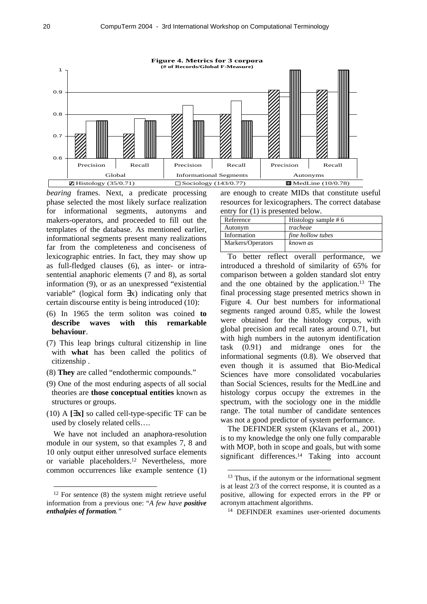

*bearing* frames. Next, a predicate processing phase selected the most likely surface realization for informational segments, autonyms and makers-operators, and proceeded to fill out the templates of the database. As mentioned earlier, informational segments present many realizations far from the completeness and conciseness of lexicographic entries. In fact, they may show up as full-fledged clauses (6), as inter- or intrasentential anaphoric elements (7 and 8), as sortal information (9), or as an unexpressed "existential variable" (logical form ∃x) indicating only that certain discourse entity is being introduced (10):

- (6) In 1965 the term soliton was coined **to describe waves with this remarkable behaviour**.
- (7) This leap brings cultural citizenship in line with **what** has been called the politics of citizenship .
- (8) **They** are called "endothermic compounds."
- (9) One of the most enduring aspects of all social theories are **those conceptual entities** known as structures or groups.
- (10) A **[\$x]** so called cell-type-specific TF can be used by closely related cells….

We have not included an anaphora-resolution module in our system, so that examples 7, 8 and 10 only output either unresolved surface elements or variable placeholders.<sup>12</sup> Nevertheless, more common occurrences like example sentence (1)

l

are enough to create MIDs that constitute useful resources for lexicographers. The correct database entry for (1) is presented below.

| Reference         | Histology sample $# 6$ |
|-------------------|------------------------|
| Autonym           | tracheae               |
| Information       | fine hollow tubes      |
| Markers/Operators | known as               |
|                   |                        |

To better reflect overall performance, we introduced a threshold of similarity of 65% for comparison between a golden standard slot entry and the one obtained by the application.<sup>13</sup> The final processing stage presented metrics shown in Figure 4. Our best numbers for informational segments ranged around 0.85, while the lowest were obtained for the histology corpus, with global precision and recall rates around 0.71, but with high numbers in the autonym identification task (0.91) and midrange ones for the informational segments (0.8). We observed that even though it is assumed that Bio-Medical Sciences have more consolidated vocabularies than Social Sciences, results for the MedLine and histology corpus occupy the extremes in the spectrum, with the sociology one in the middle range. The total number of candidate sentences was not a good predictor of system performance.

The DEFINDER system (Klavans et al., 2001) is to my knowledge the only one fully comparable with MOP, both in scope and goals, but with some significant differences.<sup>14</sup> Taking into account

<sup>&</sup>lt;sup>12</sup> For sentence (8) the system might retrieve useful information from a previous one: "*A few have positive enthalpies of formation."*

<sup>&</sup>lt;sup>13</sup> Thus, if the autonym or the informational segment is at least 2/3 of the correct response, it is counted as a positive, allowing for expected errors in the PP or acronym attachment algorithms.

<sup>14</sup> DEFINDER examines user-oriented documents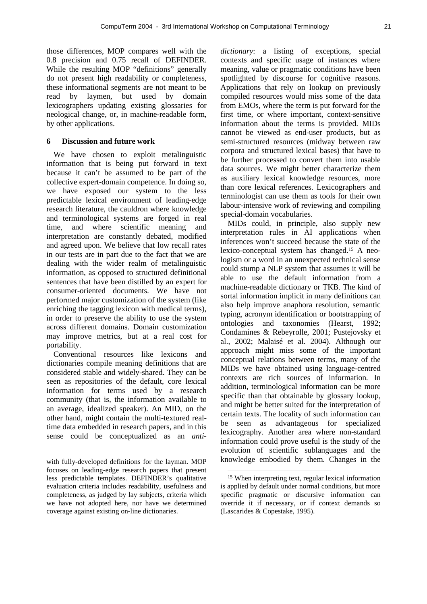those differences, MOP compares well with the 0.8 precision and 0.75 recall of DEFINDER. While the resulting MOP "definitions" generally do not present high readability or completeness, these informational segments are not meant to be read by laymen, but used by domain lexicographers updating existing glossaries for neological change, or, in machine-readable form, by other applications.

### **6 Discussion and future work**

We have chosen to exploit metalinguistic information that is being put forward in text because it can't be assumed to be part of the collective expert-domain competence. In doing so, we have exposed our system to the less predictable lexical environment of leading-edge research literature, the cauldron where knowledge and terminological systems are forged in real time, and where scientific meaning and interpretation are constantly debated, modified and agreed upon. We believe that low recall rates in our tests are in part due to the fact that we are dealing with the wider realm of metalinguistic information, as opposed to structured definitional sentences that have been distilled by an expert for consumer-oriented documents. We have not performed major customization of the system (like enriching the tagging lexicon with medical terms), in order to preserve the ability to use the system across different domains. Domain customization may improve metrics, but at a real cost for portability.

Conventional resources like lexicons and dictionaries compile meaning definitions that are considered stable and widely-shared. They can be seen as repositories of the default, core lexical information for terms used by a research community (that is, the information available to an average, idealized speaker). An MID, on the other hand, might contain the multi-textured realtime data embedded in research papers, and in this sense could be conceptualized as an *anti-*

l

*dictionary*: a listing of exceptions, special contexts and specific usage of instances where meaning, value or pragmatic conditions have been spotlighted by discourse for cognitive reasons. Applications that rely on lookup on previously compiled resources would miss some of the data from EMOs, where the term is put forward for the first time, or where important, context-sensitive information about the terms is provided. MIDs cannot be viewed as end-user products, but as semi-structured resources (midway between raw corpora and structured lexical bases) that have to be further processed to convert them into usable data sources. We might better characterize them as auxiliary lexical knowledge resources, more than core lexical references. Lexicographers and terminologist can use them as tools for their own labour-intensive work of reviewing and compiling special-domain vocabularies.

MIDs could, in principle, also supply new interpretation rules in AI applications when inferences won't succeed because the state of the lexico-conceptual system has changed.15 A neologism or a word in an unexpected technical sense could stump a NLP system that assumes it will be able to use the default information from a machine-readable dictionary or TKB. The kind of sortal information implicit in many definitions can also help improve anaphora resolution, semantic typing, acronym identification or bootstrapping of ontologies and taxonomies (Hearst, 1992; Condamines & Rebeyrolle, 2001; Pustejovsky et al., 2002; Malaisé et al. 2004). Although our approach might miss some of the important conceptual relations between terms, many of the MIDs we have obtained using language-centred contexts are rich sources of information. In addition, terminological information can be more specific than that obtainable by glossary lookup, and might be better suited for the interpretation of certain texts. The locality of such information can be seen as advantageous for specialized lexicography. Another area where non-standard information could prove useful is the study of the evolution of scientific sublanguages and the knowledge embodied by them. Changes in the

 $\overline{a}$ 

with fully-developed definitions for the layman. MOP focuses on leading-edge research papers that present less predictable templates. DEFINDER's qualitative evaluation criteria includes readability, usefulness and completeness, as judged by lay subjects, criteria which we have not adopted here, nor have we determined coverage against existing on-line dictionaries.

<sup>15</sup> When interpreting text, regular lexical information is applied by default under normal conditions, but more specific pragmatic or discursive information can override it if necessary, or if context demands so (Lascarides & Copestake, 1995).